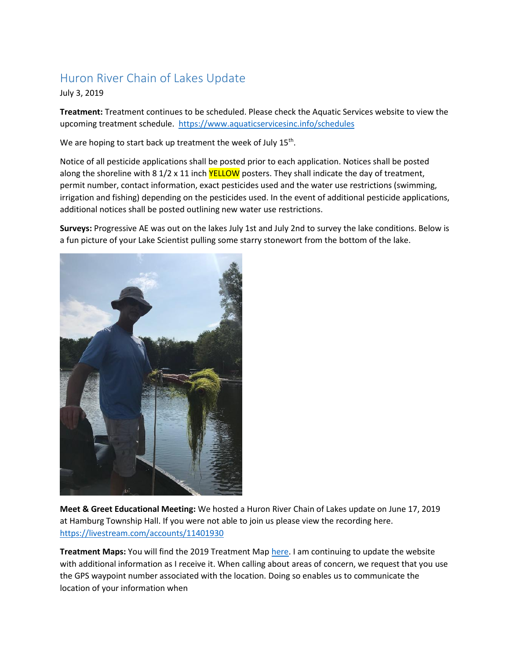## Huron River Chain of Lakes Update

### July 3, 2019

**Treatment:** Treatment continues to be scheduled. Please check the Aquatic Services website to view the upcoming treatment schedule.<https://www.aquaticservicesinc.info/schedules>

We are hoping to start back up treatment the week of July 15<sup>th</sup>.

Notice of all pesticide applications shall be posted prior to each application. Notices shall be posted along the shoreline with 8 1/2 x 11 inch YELLOW posters. They shall indicate the day of treatment, permit number, contact information, exact pesticides used and the water use restrictions (swimming, irrigation and fishing) depending on the pesticides used. In the event of additional pesticide applications, additional notices shall be posted outlining new water use restrictions.

**Surveys:** Progressive AE was out on the lakes July 1st and July 2nd to survey the lake conditions. Below is a fun picture of your Lake Scientist pulling some starry stonewort from the bottom of the lake.



**Meet & Greet Educational Meeting:** We hosted a Huron River Chain of Lakes update on June 17, 2019 at Hamburg Township Hall. If you were not able to join us please view the recording here. <https://livestream.com/accounts/11401930>

**Treatment Maps:** You will find the 2019 Treatment Map [here.](https://www.washtenaw.org/799/Chain-of-Lakes-Weed-Control-Activities) I am continuing to update the website with additional information as I receive it. When calling about areas of concern, we request that you use the GPS waypoint number associated with the location. Doing so enables us to communicate the location of your information when